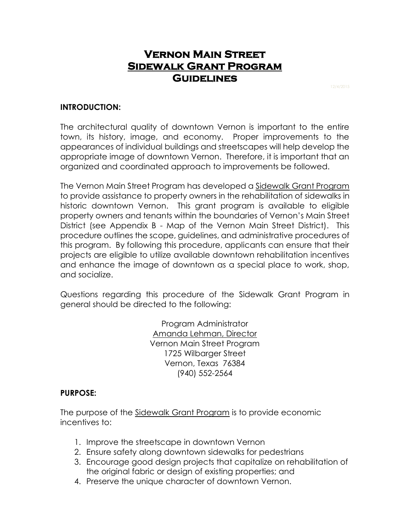# **Vernon Main Street Sidewalk Grant Program Guidelines**

### **INTRODUCTION:**

The architectural quality of downtown Vernon is important to the entire town, its history, image, and economy. Proper improvements to the appearances of individual buildings and streetscapes will help develop the appropriate image of downtown Vernon. Therefore, it is important that an organized and coordinated approach to improvements be followed.

The Vernon Main Street Program has developed a Sidewalk Grant Program to provide assistance to property owners in the rehabilitation of sidewalks in historic downtown Vernon. This grant program is available to eligible property owners and tenants within the boundaries of Vernon's Main Street District (see Appendix B - Map of the Vernon Main Street District). This procedure outlines the scope, guidelines, and administrative procedures of this program. By following this procedure, applicants can ensure that their projects are eligible to utilize available downtown rehabilitation incentives and enhance the image of downtown as a special place to work, shop, and socialize.

Questions regarding this procedure of the Sidewalk Grant Program in general should be directed to the following:

> Program Administrator Amanda Lehman, Director Vernon Main Street Program 1725 Wilbarger Street Vernon, Texas 76384 (940) 552-2564

### **PURPOSE:**

The purpose of the Sidewalk Grant Program is to provide economic incentives to:

- 1. Improve the streetscape in downtown Vernon
- 2. Ensure safety along downtown sidewalks for pedestrians
- 3. Encourage good design projects that capitalize on rehabilitation of the original fabric or design of existing properties; and
- 4. Preserve the unique character of downtown Vernon.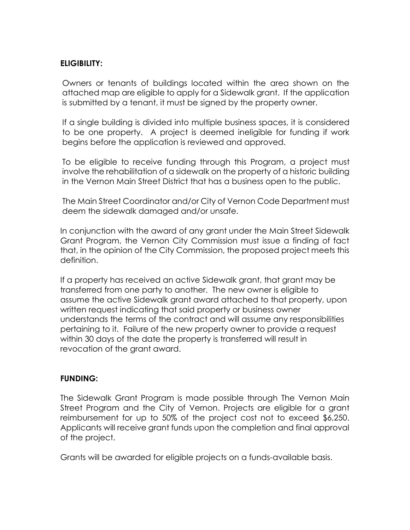# **ELIGIBILITY:**

Owners or tenants of buildings located within the area shown on the attached map are eligible to apply for a Sidewalk grant. If the application is submitted by a tenant, it must be signed by the property owner.

If a single building is divided into multiple business spaces, it is considered to be one property. A project is deemed ineligible for funding if work begins before the application is reviewed and approved.

To be eligible to receive funding through this Program, a project must involve the rehabilitation of a sidewalk on the property of a historic building in the Vernon Main Street District that has a business open to the public.

The Main Street Coordinator and/or City of Vernon Code Department must deem the sidewalk damaged and/or unsafe.

In conjunction with the award of any grant under the Main Street Sidewalk Grant Program, the Vernon City Commission must issue a finding of fact that, in the opinion of the City Commission, the proposed project meets this definition.

If a property has received an active Sidewalk grant, that grant may be transferred from one party to another. The new owner is eligible to assume the active Sidewalk grant award attached to that property, upon written request indicating that said property or business owner understands the terms of the contract and will assume any responsibilities pertaining to it. Failure of the new property owner to provide a request within 30 days of the date the property is transferred will result in revocation of the grant award.

### **FUNDING:**

The Sidewalk Grant Program is made possible through The Vernon Main Street Program and the City of Vernon. Projects are eligible for a grant reimbursement for up to 50% of the project cost not to exceed \$6,250. Applicants will receive grant funds upon the completion and final approval of the project.

Grants will be awarded for eligible projects on a funds-available basis.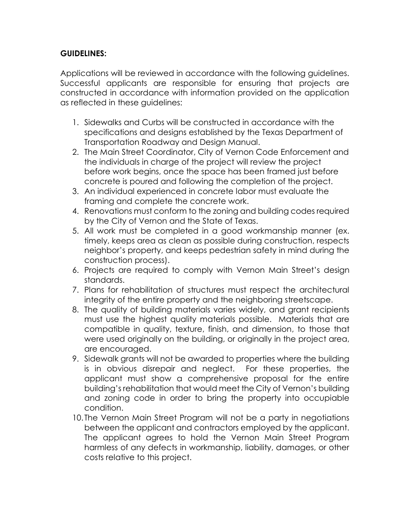# **GUIDELINES:**

Applications will be reviewed in accordance with the following guidelines. Successful applicants are responsible for ensuring that projects are constructed in accordance with information provided on the application as reflected in these guidelines:

- 1. Sidewalks and Curbs will be constructed in accordance with the specifications and designs established by the Texas Department of Transportation Roadway and Design Manual.
- 2. The Main Street Coordinator, City of Vernon Code Enforcement and the individuals in charge of the project will review the project before work begins, once the space has been framed just before concrete is poured and following the completion of the project.
- 3. An individual experienced in concrete labor must evaluate the framing and complete the concrete work.
- 4. Renovations must conform to the zoning and building codes required by the City of Vernon and the State of Texas.
- 5. All work must be completed in a good workmanship manner (ex. timely, keeps area as clean as possible during construction, respects neighbor's property, and keeps pedestrian safety in mind during the construction process).
- 6. Projects are required to comply with Vernon Main Street's design standards.
- 7. Plans for rehabilitation of structures must respect the architectural integrity of the entire property and the neighboring streetscape.
- 8. The quality of building materials varies widely, and grant recipients must use the highest quality materials possible. Materials that are compatible in quality, texture, finish, and dimension, to those that were used originally on the building, or originally in the project area, are encouraged.
- 9. Sidewalk grants will not be awarded to properties where the building is in obvious disrepair and neglect. For these properties, the applicant must show a comprehensive proposal for the entire building's rehabilitation that would meet the City of Vernon's building and zoning code in order to bring the property into occupiable condition.
- 10. The Vernon Main Street Program will not be a party in negotiations between the applicant and contractors employed by the applicant. The applicant agrees to hold the Vernon Main Street Program harmless of any defects in workmanship, liability, damages, or other costs relative to this project.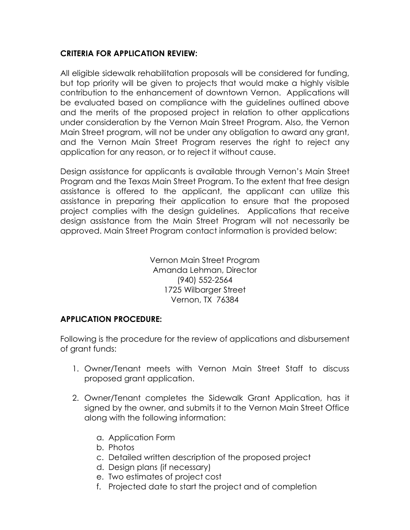# **CRITERIA FOR APPLICATION REVIEW:**

All eligible sidewalk rehabilitation proposals will be considered for funding, but top priority will be given to projects that would make a highly visible contribution to the enhancement of downtown Vernon. Applications will be evaluated based on compliance with the guidelines outlined above and the merits of the proposed project in relation to other applications under consideration by the Vernon Main Street Program. Also, the Vernon Main Street program, will not be under any obligation to award any grant, and the Vernon Main Street Program reserves the right to reject any application for any reason, or to reject it without cause.

Design assistance for applicants is available through Vernon's Main Street Program and the Texas Main Street Program. To the extent that free design assistance is offered to the applicant, the applicant can utilize this assistance in preparing their application to ensure that the proposed project complies with the design guidelines. Applications that receive design assistance from the Main Street Program will not necessarily be approved. Main Street Program contact information is provided below:

> Vernon Main Street Program Amanda Lehman, Director (940) 552-2564 1725 Wilbarger Street Vernon, TX 76384

### **APPLICATION PROCEDURE:**

Following is the procedure for the review of applications and disbursement of grant funds:

- 1. Owner/Tenant meets with Vernon Main Street Staff to discuss proposed grant application.
- 2. Owner/Tenant completes the Sidewalk Grant Application, has it signed by the owner, and submits it to the Vernon Main Street Office along with the following information:
	- a. Application Form
	- b. Photos
	- c. Detailed written description of the proposed project
	- d. Design plans (if necessary)
	- e. Two estimates of project cost
	- f. Projected date to start the project and of completion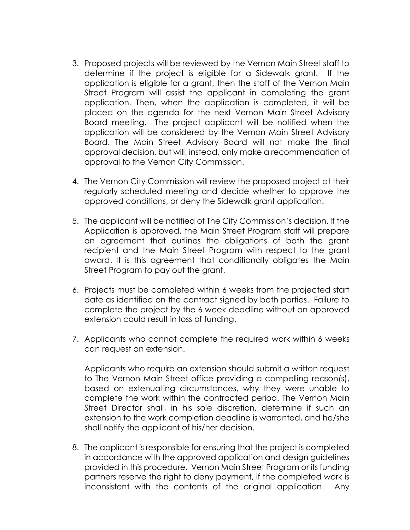- 3. Proposed projects will be reviewed by the Vernon Main Street staff to determine if the project is eligible for a Sidewalk grant. If the application is eligible for a grant, then the staff of the Vernon Main Street Program will assist the applicant in completing the grant application. Then, when the application is completed, it will be placed on the agenda for the next Vernon Main Street Advisory Board meeting. The project applicant will be notified when the application will be considered by the Vernon Main Street Advisory Board. The Main Street Advisory Board will not make the final approval decision, but will, instead, only make a recommendation of approval to the Vernon City Commission.
- 4. The Vernon City Commission will review the proposed project at their regularly scheduled meeting and decide whether to approve the approved conditions, or deny the Sidewalk grant application.
- 5. The applicant will be notified of The City Commission's decision. If the Application is approved, the Main Street Program staff will prepare an agreement that outlines the obligations of both the grant recipient and the Main Street Program with respect to the grant award. It is this agreement that conditionally obligates the Main Street Program to pay out the grant.
- 6. Projects must be completed within 6 weeks from the projected start date as identified on the contract signed by both parties. Failure to complete the project by the 6 week deadline without an approved extension could result in loss of funding.
- 7. Applicants who cannot complete the required work within 6 weeks can request an extension.

Applicants who require an extension should submit a written request to The Vernon Main Street office providing a compelling reason(s), based on extenuating circumstances, why they were unable to complete the work within the contracted period. The Vernon Main Street Director shall, in his sole discretion, determine if such an extension to the work completion deadline is warranted, and he/she shall notify the applicant of his/her decision.

8. The applicant is responsible for ensuring that the project is completed in accordance with the approved application and design guidelines provided in this procedure. Vernon Main Street Program or its funding partners reserve the right to deny payment, if the completed work is inconsistent with the contents of the original application. Any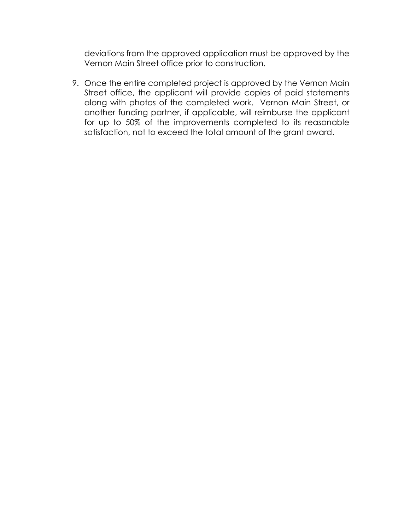deviations from the approved application must be approved by the Vernon Main Street office prior to construction.

9. Once the entire completed project is approved by the Vernon Main Street office, the applicant will provide copies of paid statements along with photos of the completed work. Vernon Main Street, or another funding partner, if applicable, will reimburse the applicant for up to 50% of the improvements completed to its reasonable satisfaction, not to exceed the total amount of the grant award.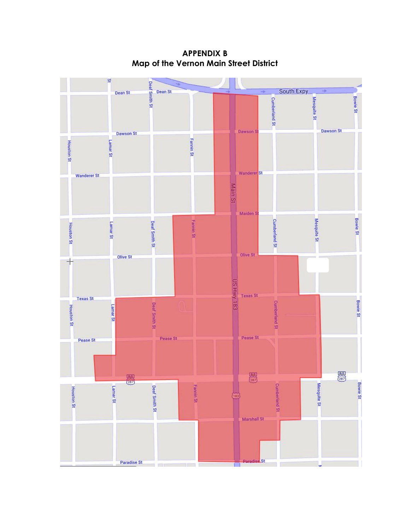$\Omega$ Deaf Smith St South Expy Dean St Dean St **Bowle St** Mesquite St **Cumberland St** Dawson S **Dawson St Dawson St Fannin St Houston St** Lamar<sub>St</sub> Wanderer<sup>St</sup> **Wanderer St** Main St Maiden S **Bowie St Fannin St Cumberland St** Mesquite St Deaf Smith St **Houston St** Lamar St Olive St Olive St  $\rightarrow$ US HWY 183 **Texas St Texas St Bowie St Cumberland St** Deaf Smith St **Houston St** Lamar<sub>St</sub> Pease St Pease St Pease St  $\begin{array}{c}\n\hline\n\text{BUS} \\
\hline\n\text{287}\n\end{array}$ 屬  $\begin{array}{c} \hline \text{BHS} \\ \hline \text{C} \text{B} \text{J} \end{array}$ Mesquite St **Bowie St Cumberland St** Deaf Smith St **Fannin St** Lamar<sub>St</sub> Houston St  $\widetilde{w}$ Marshall St **St Paradise St** 

LТ

**APPENDIX B Map of the Vernon Main Street District**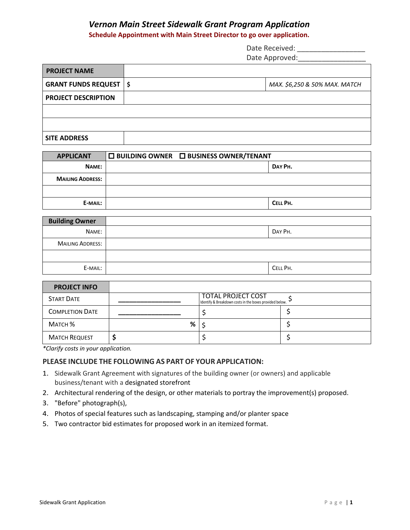#### *Vernon Main Street Sidewalk Grant Program Application*

**Schedule Appointment with Main Street Director to go over application.**

| Date Received:             |
|----------------------------|
| Date Approved:             |
|                            |
| MAY CE JEO R EON MAY MATCH |

| <b>GRANT FUNDS REQUEST   \$</b> | MAX. \$6,250 & 50% MAX. MATCH |
|---------------------------------|-------------------------------|
| <b>PROJECT DESCRIPTION</b>      |                               |
|                                 |                               |
|                                 |                               |
| l SITE ADDRESS                  |                               |

| <b>APPLICANT</b>        | $\square$ BUILDING OWNER $\square$ BUSINESS OWNER/TENANT |          |
|-------------------------|----------------------------------------------------------|----------|
| NAME:                   |                                                          | DAY PH.  |
| <b>MAILING ADDRESS:</b> |                                                          |          |
|                         |                                                          |          |
| E-MAIL:                 |                                                          | CELL PH. |

| <b>Building Owner</b>   |          |
|-------------------------|----------|
| NAME:                   | DAY PH.  |
| <b>MAILING ADDRESS:</b> |          |
|                         |          |
| E-MAIL:                 | CELL PH. |

| <b>PROJECT INFO</b>    |   |                                                                               |  |
|------------------------|---|-------------------------------------------------------------------------------|--|
| <b>START DATE</b>      |   | TOTAL PROJECT COST<br>Identify & Breakdown costs in the boxes provided below. |  |
| <b>COMPLETION DATE</b> |   |                                                                               |  |
| Матсн %                | % |                                                                               |  |
| <b>MATCH REQUEST</b>   |   |                                                                               |  |

*\*Clarify costs in your application.*

**PROJECT NAME**

#### **PLEASE INCLUDE THE FOLLOWING AS PART OF YOUR APPLICATION:**

- 1. Sidewalk Grant Agreement with signatures of the building owner (or owners) and applicable business/tenant with a designated storefront
- 2. Architectural rendering of the design, or other materials to portray the improvement(s) proposed.
- 3. "Before" photograph(s),
- 4. Photos of special features such as landscaping, stamping and/or planter space
- 5. Two contractor bid estimates for proposed work in an itemized format.